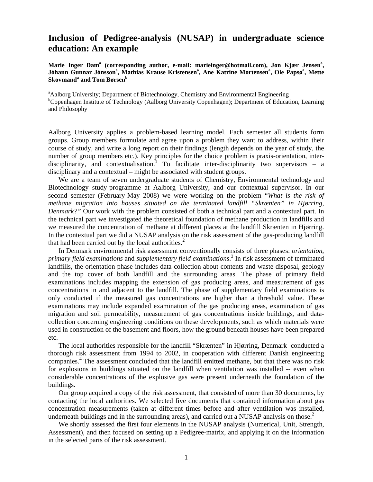## **Inclusion of Pedigree-analysis (NUSAP) in undergraduate science education: An example**

Marie Inger Dam<sup>a</sup> (corresponding author, e-mail: marieinger@hotmail.com), Jon Kjær Jensen<sup>a</sup>, Jóhann Gunnar Jónsson<sup>a</sup>, Mathias Krause Kristensen<sup>a</sup>, Ane Katrine Mortensen<sup>a</sup>, Ole Papsø<sup>a</sup>, Mette **Skovmand**<sup>a</sup> and Tom Børsen<sup>b</sup>

<sup>a</sup> Aalborg University; Department of Biotechnology, Chemistry and Environmental Engineering <sup>b</sup>Copenhagen Institute of Technology (Aalborg University Copenhagen); Department of Education, Learning and Philosophy

Aalborg University applies a problem-based learning model. Each semester all students form groups. Group members formulate and agree upon a problem they want to address, within their course of study, and write a long report on their findings (length depends on the year of study, the number of group members etc.). Key principles for the choice problem is praxis-orientation, interdisciplinarity, and contextualisation.<sup>1</sup> To facilitate inter-disciplinarity two supervisors – a disciplinary and a contextual – might be associated with student groups.

We are a team of seven undergraduate students of Chemistry, Environmental technology and Biotechnology study-programme at Aalborg University, and our contextual supervisor. In our second semester (February-May 2008) we were working on the problem "*What is the risk of methane migration into houses situated on the terminated landfill "Skrænten" in Hjørring, Denmark?"* Our work with the problem consisted of both a technical part and a contextual part. In the technical part we investigated the theoretical foundation of methane production in landfills and we measured the concentration of methane at different places at the landfill Skrænten in Hjørring. In the contextual part we did a NUSAP analysis on the risk assessment of the gas-producing landfill that had been carried out by the local authorities.<sup>2</sup>

In Denmark environmental risk assessment conventionally consists of three phases: *orientation*, *primary field examinations* and *supplementary field examinations*. <sup>3</sup> In risk assessment of terminated landfills, the orientation phase includes data-collection about contents and waste disposal, geology and the top cover of both landfill and the surrounding areas. The phase of primary field examinations includes mapping the extension of gas producing areas, and measurement of gas concentrations in and adjacent to the landfill. The phase of supplementary field examinations is only conducted if the measured gas concentrations are higher than a threshold value. These examinations may include expanded examination of the gas producing areas, examination of gas migration and soil permeability, measurement of gas concentrations inside buildings, and datacollection concerning engineering conditions on these developments, such as which materials were used in construction of the basement and floors, how the ground beneath houses have been prepared etc.

The local authorities responsible for the landfill "Skrænten" in Hjørring, Denmark conducted a thorough risk assessment from 1994 to 2002, in cooperation with different Danish engineering companies.<sup>4</sup> The assessment concluded that the landfill emitted methane, but that there was no risk for explosions in buildings situated on the landfill when ventilation was installed -- even when considerable concentrations of the explosive gas were present underneath the foundation of the buildings.

Our group acquired a copy of the risk assessment, that consisted of more than 30 documents, by contacting the local authorities. We selected five documents that contained information about gas concentration measurements (taken at different times before and after ventilation was installed, underneath buildings and in the surrounding areas), and carried out a NUSAP analysis on those.<sup>2</sup>

We shortly assessed the first four elements in the NUSAP analysis (Numerical, Unit, Strength, Assessment), and then focused on setting up a Pedigree-matrix, and applying it on the information in the selected parts of the risk assessment.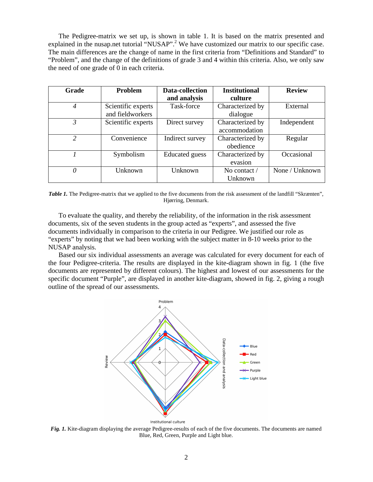The Pedigree-matrix we set up, is shown in table 1. It is based on the matrix presented and explained in the nusap.net tutorial "NUSAP".<sup>2</sup> We have customized our matrix to our specific case. The main differences are the change of name in the first criteria from "Definitions and Standard" to "Problem", and the change of the definitions of grade 3 and 4 within this criteria. Also, we only saw the need of one grade of 0 in each criteria.

| Grade          | <b>Problem</b>                         | <b>Data-collection</b><br>and analysis | <b>Institutional</b><br>culture   | <b>Review</b>  |
|----------------|----------------------------------------|----------------------------------------|-----------------------------------|----------------|
| 4              | Scientific experts<br>and fieldworkers | Task-force                             | Characterized by<br>dialogue      | External       |
| 3              | Scientific experts                     | Direct survey                          | Characterized by<br>accommodation | Independent    |
| $\overline{c}$ | Convenience                            | Indirect survey                        | Characterized by<br>obedience     | Regular        |
|                | Symbolism                              | <b>Educated</b> guess                  | Characterized by<br>evasion       | Occasional     |
| 0              | Unknown                                | Unknown                                | No contact $\ell$<br>Unknown      | None / Unknown |

*Table 1.* The Pedigree-matrix that we applied to the five documents from the risk assessment of the landfill "Skrænten", Hjørring, Denmark.

To evaluate the quality, and thereby the reliability, of the information in the risk assessment documents, six of the seven students in the group acted as "experts", and assessed the five documents individually in comparison to the criteria in our Pedigree. We justified our role as "experts" by noting that we had been working with the subject matter in 8-10 weeks prior to the NUSAP analysis.

Based our six individual assessments an average was calculated for every document for each of the four Pedigree-criteria. The results are displayed in the kite-diagram shown in fig. 1 (the five documents are represented by different colours). The highest and lowest of our assessments for the specific document "Purple"*,* are displayed in another kite-diagram, showed in fig. 2, giving a rough outline of the spread of our assessments.



*Fig. 1.* Kite-diagram displaying the average Pedigree-results of each of the five documents. The documents are named Blue, Red, Green, Purple and Light blue.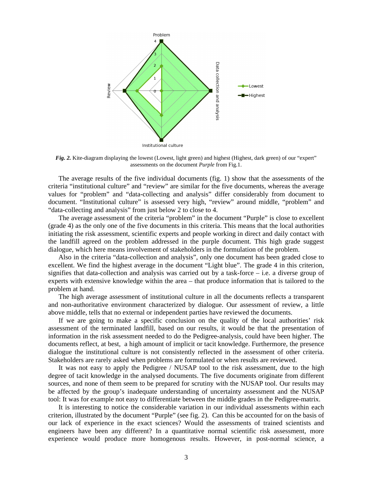

*Fig. 2.* Kite-diagram displaying the lowest (Lowest, light green) and highest (Highest, dark green) of our "expert" assessments on the document *Purple* from Fig.1.

The average results of the five individual documents (fig. 1) show that the assessments of the criteria "institutional culture" and "review" are similar for the five documents, whereas the average values for "problem" and "data-collecting and analysis" differ considerably from document to document. "Institutional culture" is assessed very high, "review" around middle, "problem" and "data-collecting and analysis" from just below 2 to close to 4.

The average assessment of the criteria "problem" in the document "Purple" is close to excellent (grade 4) as the only one of the five documents in this criteria. This means that the local authorities initiating the risk assessment, scientific experts and people working in direct and daily contact with the landfill agreed on the problem addressed in the purple document. This high grade suggest dialogue, which here means involvement of stakeholders in the formulation of the problem.

Also in the criteria "data-collection and analysis", only one document has been graded close to excellent. We find the highest average in the document "Light blue". The grade 4 in this criterion, signifies that data-collection and analysis was carried out by a task-force – i.e. a diverse group of experts with extensive knowledge within the area – that produce information that is tailored to the problem at hand.

The high average assessment of institutional culture in all the documents reflects a transparent and non-authoritative environment characterized by dialogue. Our assessment of review, a little above middle, tells that no external or independent parties have reviewed the documents.

If we are going to make a specific conclusion on the quality of the local authorities' risk assessment of the terminated landfill, based on our results, it would be that the presentation of information in the risk assessment needed to do the Pedigree-analysis, could have been higher. The documents reflect, at best, a high amount of implicit or tacit knowledge. Furthermore, the presence dialogue the institutional culture is not consistently reflected in the assessment of other criteria. Stakeholders are rarely asked when problems are formulated or when results are reviewed.

It was not easy to apply the Pedigree / NUSAP tool to the risk assessment, due to the high degree of tacit knowledge in the analysed documents. The five documents originate from different sources, and none of them seem to be prepared for scrutiny with the NUSAP tool. Our results may be affected by the group's inadequate understanding of uncertainty assessment and the NUSAP tool: It was for example not easy to differentiate between the middle grades in the Pedigree-matrix.

It is interesting to notice the considerable variation in our individual assessments within each criterion, illustrated by the document "Purple" (see fig. 2). Can this be accounted for on the basis of our lack of experience in the exact sciences? Would the assessments of trained scientists and engineers have been any different? In a quantitative normal scientific risk assessment, more experience would produce more homogenous results. However, in post-normal science, a